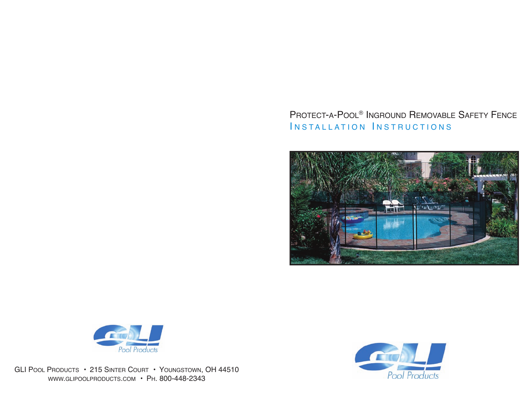## PROTECT-A-POOL® INGROUND REMOVABLE SAFETY FENCE INSTALLATION INSTRUCTIONS





GLI POOL PRODUCTS • 215 SINTER COURT • YOUNGSTOWN, OH 44510 WWW.GLIPOOLPRODUCTS.COM • PH. 800-448-2343

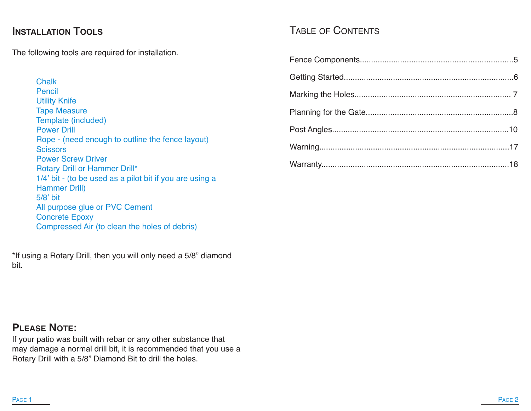## **INSTALLATION TOOLS**

The following tools are required for installation.

**Chalk** Pencil Utility Knife Tape Measure Template (included) Power Drill Rope - (need enough to outline the fence layout) **Scissors** Power Screw Driver Rotary Drill or Hammer Drill\* 1/4' bit - (to be used as a pilot bit if you are using a Hammer Drill) 5/8' bit All purpose glue or PVC Cement Concrete Epoxy Compressed Air (to clean the holes of debris)

\*If using a Rotary Drill, then you will only need a 5/8" diamond bit.

## TABLE OF CONTENTS

## **PLEASE NOTE:**

If your patio was built with rebar or any other substance that may damage a normal drill bit, it is recommended that you use a Rotary Drill with a 5/8" Diamond Bit to drill the holes.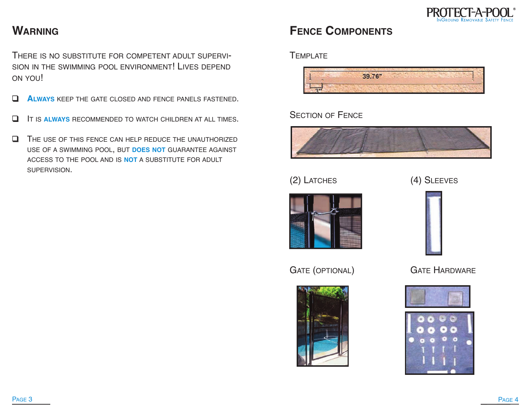

## **WARNING**

THERE IS NO SUBSTITUTE FOR COMPETENT ADULT SUPERVI-SION IN THE SWIMMING POOL ENVIRONMENT! LIVES DEPEND ON YOU!

- ❑ **ALWAYS** KEEP THE GATE CLOSED AND FENCE PANELS FASTENED.
- ❑ IT IS **ALWAYS** RECOMMENDED TO WATCH CHILDREN AT ALL TIMES.
- ❑ THE USE OF THIS FENCE CAN HELP REDUCE THE UNAUTHORIZED USE OF A SWIMMING POOL, BUT **DOES NOT** GUARANTEE AGAINST ACCESS TO THE POOL AND IS **NOT** A SUBSTITUTE FOR ADULT SUPERVISION.

# **FENCE COMPONENTS**

**TEMPLATE** 



### **SECTION OF FENCE**



## (2) LATCHES (4) SLEEVES





GATE (OPTIONAL) **GATE HARDWARE** 





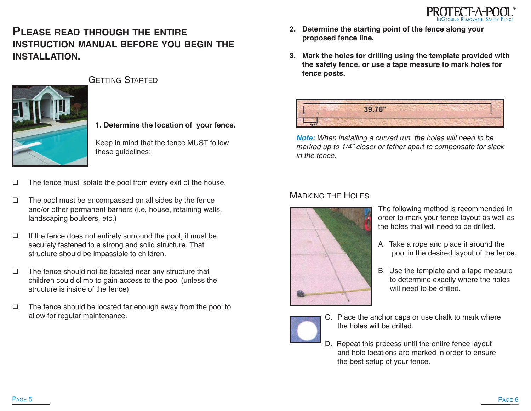

## **PLEASE READ THROUGH THE ENTIRE INSTRUCTION MANUAL BEFORE YOU BEGIN THE INSTALLATION.**



GETTING STARTED

#### **1. Determine the location of your fence.**

Keep in mind that the fence MUST follow these guidelines:

- ❑ The fence must isolate the pool from every exit of the house.
- ❑ The pool must be encompassed on all sides by the fence and/or other permanent barriers (i.e, house, retaining walls, landscaping boulders, etc.)
- ❑ If the fence does not entirely surround the pool, it must be securely fastened to a strong and solid structure. That structure should be impassible to children.
- ❑ The fence should not be located near any structure that children could climb to gain access to the pool (unless the structure is inside of the fence)
- ❑ The fence should be located far enough away from the pool to allow for regular maintenance.
- **2. Determine the starting point of the fence along your proposed fence line.**
- **3. Mark the holes for drilling using the template provided with the safety fence, or use a tape measure to mark holes for fence posts.**



**Note:** When installing <sup>a</sup> curved run, the holes will need to be marked up to 1/4" closer or father apart to compensate for slack in the fence.

#### **MARKING THE HOLES**



The following method is recommended in order to mark your fence layout as well as the holes that will need to be drilled.

- A. Take a rope and place it around the pool in the desired layout of the fence.
- B. Use the template and a tape measure to determine exactly where the holes will need to be drilled.



- C. Place the anchor caps or use chalk to mark where the holes will be drilled.
- D. Repeat this process until the entire fence layout and hole locations are marked in order to ensure the best setup of your fence.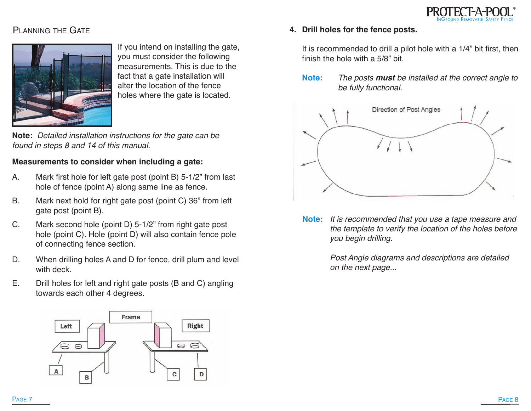

### PLANNING THE GATE



If you intend on installing the gate, you must consider the following measurements. This is due to the fact that a gate installation will alter the location of the fence holes where the gate is located.

**Note:** Detailed installation instructions for the gate can be found in steps 8 and 14 of this manual.

#### **Measurements to consider when including a gate:**

- A. Mark first hole for left gate post (point B) 5-1/2" from last hole of fence (point A) along same line as fence.
- B. Mark next hold for right gate post (point C) 36" from left gate post (point B).
- C. Mark second hole (point D) 5-1/2" from right gate post hole (point C). Hole (point D) will also contain fence pole of connecting fence section.
- D. When drilling holes A and D for fence, drill plum and level with deck.
- E. Drill holes for left and right gate posts (B and C) angling towards each other 4 degrees.

It is recommended to drill a pilot hole with a 1/4" bit first, then finish the hole with a 5/8" bit.

**4. Drill holes for the fence posts.**

**Note:** The posts **must** be installed at the correct angle to be fully functional.



**Note:** It is recommended that you use <sup>a</sup> tape measure and the template to verify the location of the holes before you begin drilling.

> Post Angle diagrams and descriptions are detailed on the next page...

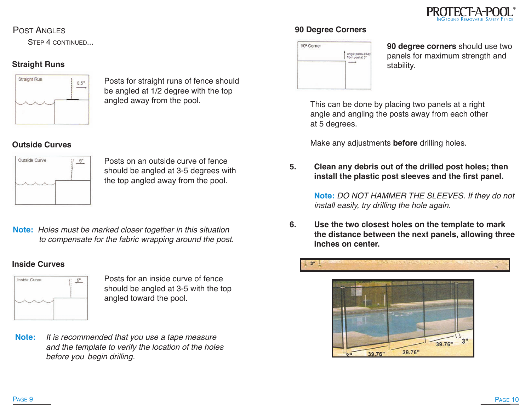

#### POST ANGLES

STEP 4 CONTINUED...

#### **Straight Runs**



Posts for straight runs of fence should be angled at 1/2 degree with the top angled away from the pool.

#### **Outside Curves**



Posts on an outside curve of fence should be angled at 3-5 degrees with the top angled away from the pool.

**Note:** Holes must be marked closer together in this situation to compensate for the fabric wrapping around the post.

#### **Inside Curves**



Posts for an inside curve of fence should be angled at 3-5 with the top angled toward the pool.

**Note:** It is recommended that you use <sup>a</sup> tape measure and the template to verify the location of the holes before you begin drilling.

#### **90 Degree Corners**



**90 degree corners** should use two panels for maximum strength and stability.

This can be done by placing two panels at a right angle and angling the posts away from each other at 5 degrees.

Make any adjustments **before** drilling holes.

**5. Clean any debris out of the drilled post holes; then install the plastic post sleeves and the first panel.**

> **Note:** DO NOT HAMMER THE SLEEVES. If they do not install easily, try drilling the hole again.

**6. Use the two closest holes on the template to mark the distance between the next panels, allowing three inches on center.**



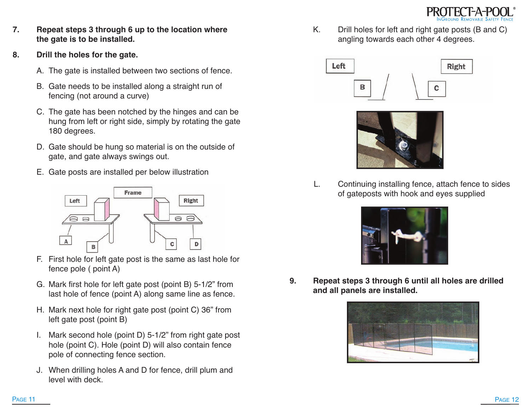

- **7. Repeat steps 3 through 6 up to the location where the gate is to be installed.**
- **8. Drill the holes for the gate.**
	- A. The gate is installed between two sections of fence.
	- B. Gate needs to be installed along a straight run of fencing (not around a curve)
	- C. The gate has been notched by the hinges and can be hung from left or right side, simply by rotating the gate 180 degrees.
	- D. Gate should be hung so material is on the outside of gate, and gate always swings out.
	- E. Gate posts are installed per below illustration



- F. First hole for left gate post is the same as last hole for fence pole ( point A)
- G. Mark first hole for left gate post (point B) 5-1/2" from last hole of fence (point A) along same line as fence.
- H. Mark next hole for right gate post (point C) 36" from left gate post (point B)
- I. Mark second hole (point D) 5-1/2" from right gate post hole (point C). Hole (point D) will also contain fence pole of connecting fence section.
- J. When drilling holes A and D for fence, drill plum and level with deck.

K. Drill holes for left and right gate posts (B and C) angling towards each other 4 degrees.





L. Continuing installing fence, attach fence to sides of gateposts with hook and eyes supplied



**9. Repeat steps 3 through 6 until all holes are drilled and all panels are installed.**

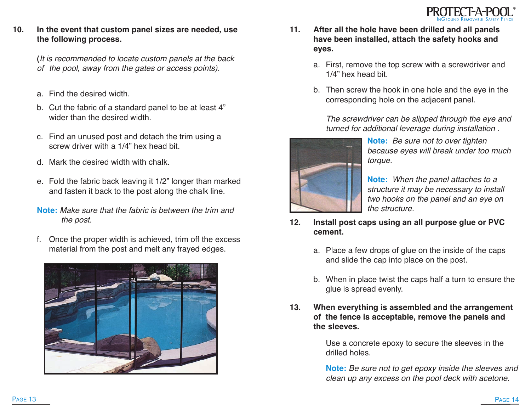

**10. In the event that custom panel sizes are needed, use the following process.**

> **(**It is recommended to locate custom panels at the back of the pool, away from the gates or access points).

- a. Find the desired width.
- b. Cut the fabric of a standard panel to be at least 4" wider than the desired width.
- c. Find an unused post and detach the trim using a screw driver with a 1/4" hex head bit.
- d. Mark the desired width with chalk.
- e. Fold the fabric back leaving it 1/2" longer than marked and fasten it back to the post along the chalk line.
- **Note:** Make sure that the fabric is between the trim and the post.
- f. Once the proper width is achieved, trim off the excess material from the post and melt any frayed edges.



- **11. After all the hole have been drilled and all panels have been installed, attach the safety hooks and eyes.**
	- a. First, remove the top screw with a screwdriver and 1/4" hex head bit.
	- b. Then screw the hook in one hole and the eye in the corresponding hole on the adjacent panel.

The screwdriver can be slipped through the eye and turned for additional leverage during installation .



**Note:** Be sure not to over tighten because eyes will break under too much torque.

**Note:** When the panel attaches to <sup>a</sup> structure it may be necessary to install two hooks on the panel and an eye on the structure.

- **12. Install post caps using an all purpose glue or PVC cement.**
	- a. Place a few drops of glue on the inside of the caps and slide the cap into place on the post.
	- b. When in place twist the caps half a turn to ensure the glue is spread evenly.
- **13. When everything is assembled and the arrangement of the fence is acceptable, remove the panels and the sleeves.**

Use a concrete epoxy to secure the sleeves in the drilled holes.

**Note:** Be sure not to get epoxy inside the sleeves and clean up any excess on the pool deck with acetone.